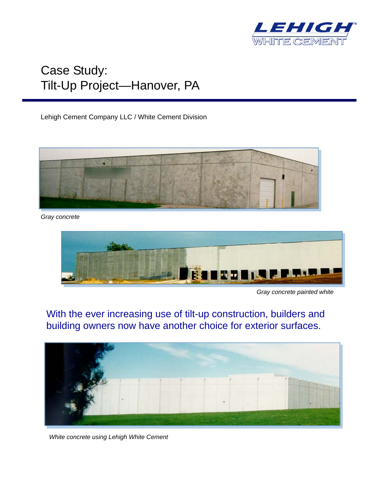

## Case Study: Tilt-Up Project—Hanover, PA

Lehigh Cement Company LLC / White Cement Division



*Gray concrete* 



*Gray concrete painted white* 

With the ever increasing use of tilt-up construction, builders and building owners now have another choice for exterior surfaces.



*White concrete using Lehigh White Cement*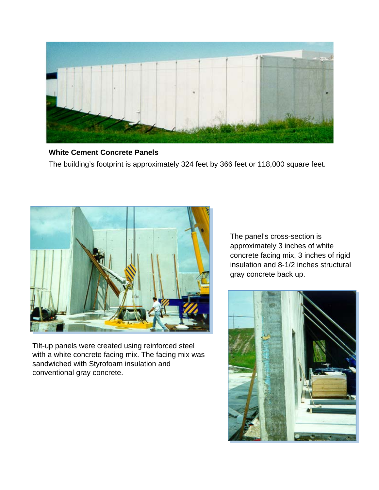

**White Cement Concrete Panels**  The building's footprint is approximately 324 feet by 366 feet or 118,000 square feet.



Tilt-up panels were created using reinforced steel with a white concrete facing mix. The facing mix was sandwiched with Styrofoam insulation and conventional gray concrete.

The panel's cross-section is approximately 3 inches of white concrete facing mix, 3 inches of rigid insulation and 8-1/2 inches structural gray concrete back up.

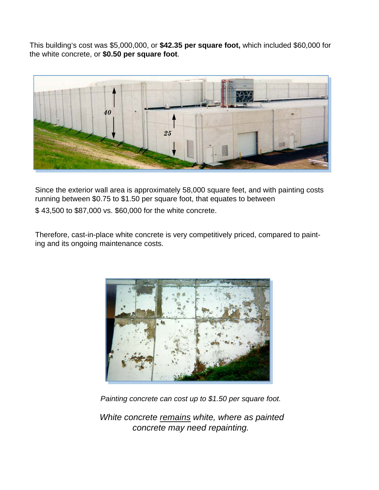This building's cost was \$5,000,000, or **\$42.35 per square foot,** which included \$60,000 for the white concrete, or **\$0.50 per square foot**.



Since the exterior wall area is approximately 58,000 square feet, and with painting costs running between \$0.75 to \$1.50 per square foot, that equates to between

\$ 43,500 to \$87,000 vs. \$60,000 for the white concrete.

Therefore, cast-in-place white concrete is very competitively priced, compared to painting and its ongoing maintenance costs.



*Painting concrete can cost up to \$1.50 per square foot.* 

*White concrete remains white, where as painted concrete may need repainting.*